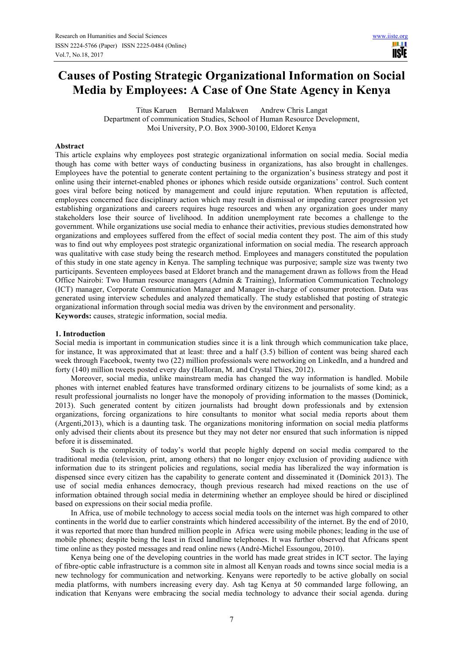# **Causes of Posting Strategic Organizational Information on Social Media by Employees: A Case of One State Agency in Kenya**

Titus Karuen Bernard Malakwen Andrew Chris Langat Department of communication Studies, School of Human Resource Development, Moi University, P.O. Box 3900-30100, Eldoret Kenya

# **Abstract**

This article explains why employees post strategic organizational information on social media. Social media though has come with better ways of conducting business in organizations, has also brought in challenges. Employees have the potential to generate content pertaining to the organization's business strategy and post it online using their internet-enabled phones or iphones which reside outside organizations' control. Such content goes viral before being noticed by management and could injure reputation. When reputation is affected, employees concerned face disciplinary action which may result in dismissal or impeding career progression yet establishing organizations and careers requires huge resources and when any organization goes under many stakeholders lose their source of livelihood. In addition unemployment rate becomes a challenge to the government. While organizations use social media to enhance their activities, previous studies demonstrated how organizations and employees suffered from the effect of social media content they post. The aim of this study was to find out why employees post strategic organizational information on social media. The research approach was qualitative with case study being the research method. Employees and managers constituted the population of this study in one state agency in Kenya. The sampling technique was purposive; sample size was twenty two participants. Seventeen employees based at Eldoret branch and the management drawn as follows from the Head Office Nairobi: Two Human resource managers (Admin & Training), Information Communication Technology (ICT) manager, Corporate Communication Manager and Manager in-charge of consumer protection. Data was generated using interview schedules and analyzed thematically. The study established that posting of strategic organizational information through social media was driven by the environment and personality. **Keywords:** causes, strategic information, social media.

## **1. Introduction**

Social media is important in communication studies since it is a link through which communication take place, for instance, It was approximated that at least: three and a half (3.5) billion of content was being shared each week through Facebook, twenty two (22) million professionals were networking on LinkedIn, and a hundred and forty (140) million tweets posted every day (Halloran, M. and Crystal Thies, 2012).

Moreover, social media, unlike mainstream media has changed the way information is handled. Mobile phones with internet enabled features have transformed ordinary citizens to be journalists of some kind; as a result professional journalists no longer have the monopoly of providing information to the masses (Dominick, 2013). Such generated content by citizen journalists had brought down professionals and by extension organizations, forcing organizations to hire consultants to monitor what social media reports about them (Argenti,2013), which is a daunting task. The organizations monitoring information on social media platforms only advised their clients about its presence but they may not deter nor ensured that such information is nipped before it is disseminated.

Such is the complexity of today's world that people highly depend on social media compared to the traditional media (television, print, among others) that no longer enjoy exclusion of providing audience with information due to its stringent policies and regulations, social media has liberalized the way information is dispensed since every citizen has the capability to generate content and disseminated it (Dominick 2013). The use of social media enhances democracy, though previous research had mixed reactions on the use of information obtained through social media in determining whether an employee should be hired or disciplined based on expressions on their social media profile.

In Africa, use of mobile technology to access social media tools on the internet was high compared to other continents in the world due to earlier constraints which hindered accessibility of the internet. By the end of 2010, it was reported that more than hundred million people in Africa were using mobile phones; leading in the use of mobile phones; despite being the least in fixed landline telephones. It was further observed that Africans spent time online as they posted messages and read online news (André-Michel Essoungou, 2010).

Kenya being one of the developing countries in the world has made great strides in ICT sector. The laying of fibre-optic cable infrastructure is a common site in almost all Kenyan roads and towns since social media is a new technology for communication and networking. Kenyans were reportedly to be active globally on social media platforms, with numbers increasing every day. Ash tag Kenya at 50 commanded large following, an indication that Kenyans were embracing the social media technology to advance their social agenda. during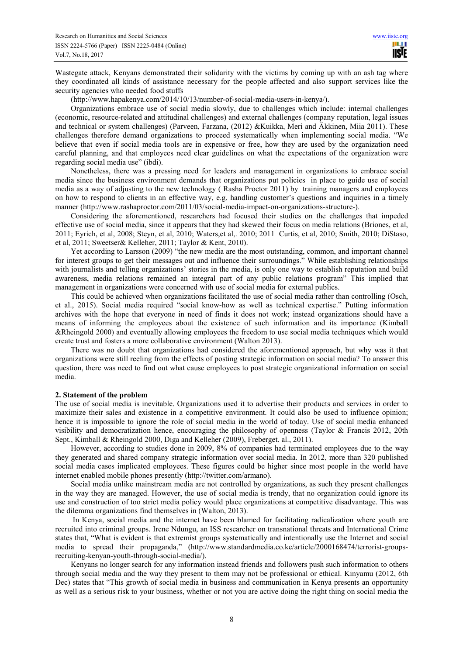Wastegate attack, Kenyans demonstrated their solidarity with the victims by coming up with an ash tag where they coordinated all kinds of assistance necessary for the people affected and also support services like the security agencies who needed food stuffs

(http://www.hapakenya.com/2014/10/13/number-of-social-media-users-in-kenya/).

Organizations embrace use of social media slowly, due to challenges which include: internal challenges (economic, resource-related and attitudinal challenges) and external challenges (company reputation, legal issues and technical or system challenges) (Parveen, Farzana, (2012) &Kuikka, Meri and Äkkinen, Miia 2011). These challenges therefore demand organizations to proceed systematically when implementing social media. "We believe that even if social media tools are in expensive or free, how they are used by the organization need careful planning, and that employees need clear guidelines on what the expectations of the organization were regarding social media use" (ibdi).

Nonetheless, there was a pressing need for leaders and management in organizations to embrace social media since the business environment demands that organizations put policies in place to guide use of social media as a way of adjusting to the new technology ( Rasha Proctor 2011) by training managers and employees on how to respond to clients in an effective way, e.g. handling customer's questions and inquiries in a timely manner (http://www.rashaproctor.com/2011/03/social-media-impact-on-organizations-structure-).

Considering the aforementioned, researchers had focused their studies on the challenges that impeded effective use of social media, since it appears that they had skewed their focus on media relations (Briones, et al, 2011; Eyrich, et al, 2008; Steyn, et al, 2010; Waters,et al,. 2010; 2011 Curtis, et al, 2010; Smith, 2010; DiStaso, et al, 2011; Sweetser& Kelleher, 2011; Taylor & Kent, 2010).

Yet according to Larsson (2009) "the new media are the most outstanding, common, and important channel for interest groups to get their messages out and influence their surroundings." While establishing relationships with journalists and telling organizations' stories in the media, is only one way to establish reputation and build awareness, media relations remained an integral part of any public relations program" This implied that management in organizations were concerned with use of social media for external publics.

This could be achieved when organizations facilitated the use of social media rather than controlling (Osch, et al., 2015). Social media required "social know-how as well as technical expertise." Putting information archives with the hope that everyone in need of finds it does not work; instead organizations should have a means of informing the employees about the existence of such information and its importance (Kimball &Rheingold 2000) and eventually allowing employees the freedom to use social media techniques which would create trust and fosters a more collaborative environment (Walton 2013).

There was no doubt that organizations had considered the aforementioned approach, but why was it that organizations were still reeling from the effects of posting strategic information on social media? To answer this question, there was need to find out what cause employees to post strategic organizational information on social media.

## **2. Statement of the problem**

The use of social media is inevitable. Organizations used it to advertise their products and services in order to maximize their sales and existence in a competitive environment. It could also be used to influence opinion; hence it is impossible to ignore the role of social media in the world of today. Use of social media enhanced visibility and democratization hence, encouraging the philosophy of openness (Taylor & Francis 2012, 20th Sept., Kimball & Rheingold 2000, Diga and Kelleher (2009), Freberget. al., 2011).

However, according to studies done in 2009, 8% of companies had terminated employees due to the way they generated and shared company strategic information over social media. In 2012, more than 320 published social media cases implicated employees. These figures could be higher since most people in the world have internet enabled mobile phones presently (http://twitter.com/armano).

Social media unlike mainstream media are not controlled by organizations, as such they present challenges in the way they are managed. However, the use of social media is trendy, that no organization could ignore its use and construction of too strict media policy would place organizations at competitive disadvantage. This was the dilemma organizations find themselves in (Walton, 2013).

 In Kenya, social media and the internet have been blamed for facilitating radicalization where youth are recruited into criminal groups. Irene Ndungu, an ISS researcher on transnational threats and International Crime states that, "What is evident is that extremist groups systematically and intentionally use the Internet and social media to spread their propaganda," (http://www.standardmedia.co.ke/article/2000168474/terrorist-groupsrecruiting-kenyan-youth-through-social-media/).

Kenyans no longer search for any information instead friends and followers push such information to others through social media and the way they present to them may not be professional or ethical. Kinyamu (2012, 6th Dec) states that "This growth of social media in business and communication in Kenya presents an opportunity as well as a serious risk to your business, whether or not you are active doing the right thing on social media the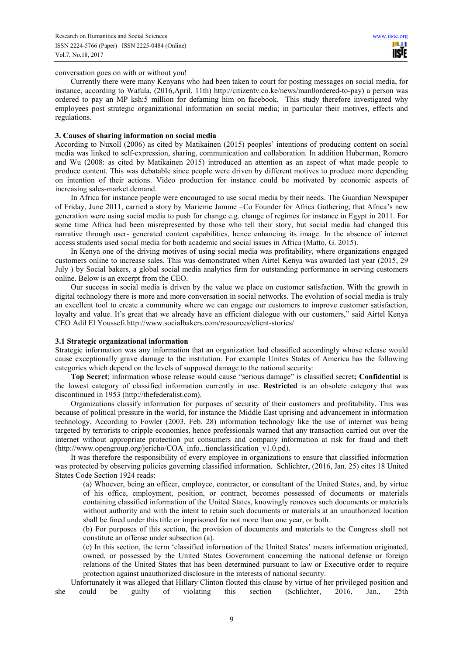conversation goes on with or without you!

Currently there were many Kenyans who had been taken to court for posting messages on social media, for instance, according to Wafula, (2016,April, 11th) http://citizentv.co.ke/news/man0ordered-to-pay) a person was ordered to pay an MP ksh:5 million for defaming him on facebook. This study therefore investigated why employees post strategic organizational information on social media; in particular their motives, effects and regulations.

# **3. Causes of sharing information on social media**

According to Nuxoll (2006) as cited by Matikainen (2015) peoples' intentions of producing content on social media was linked to self-expression, sharing, communication and collaboration. In addition Huberman, Romero and Wu (2008: as cited by Matikainen 2015) introduced an attention as an aspect of what made people to produce content. This was debatable since people were driven by different motives to produce more depending on intention of their actions. Video production for instance could be motivated by economic aspects of increasing sales-market demand.

In Africa for instance people were encouraged to use social media by their needs. The Guardian Newspaper of Friday, June 2011, carried a story by Marieme Jamme –Co Founder for Africa Gathering, that Africa's new generation were using social media to push for change e.g. change of regimes for instance in Egypt in 2011. For some time Africa had been misrepresented by those who tell their story, but social media had changed this narrative through user- generated content capabilities, hence enhancing its image. In the absence of internet access students used social media for both academic and social issues in Africa (Matto, G. 2015).

In Kenya one of the driving motives of using social media was profitability, where organizations engaged customers online to increase sales. This was demonstrated when Airtel Kenya was awarded last year (2015, 29 July ) by Social bakers, a global social media analytics firm for outstanding performance in serving customers online. Below is an excerpt from the CEO.

Our success in social media is driven by the value we place on customer satisfaction. With the growth in digital technology there is more and more conversation in social networks. The evolution of social media is truly an excellent tool to create a community where we can engage our customers to improve customer satisfaction, loyalty and value. It's great that we already have an efficient dialogue with our customers," said Airtel Kenya CEO Adil El Youssefi.http://www.socialbakers.com/resources/client-stories/

## **3.1 Strategic organizational information**

Strategic information was any information that an organization had classified accordingly whose release would cause exceptionally grave damage to the institution. For example Unites States of America has the following categories which depend on the levels of supposed damage to the national security:

**Top Secret**; information whose release would cause "serious damage" is classified secret**; Confidential** is the lowest category of classified information currently in use. **Restricted** is an obsolete category that was discontinued in 1953 (http://thefederalist.com).

Organizations classify information for purposes of security of their customers and profitability. This was because of political pressure in the world, for instance the Middle East uprising and advancement in information technology. According to Fowler (2003, Feb. 28) information technology like the use of internet was being targeted by terrorists to cripple economies, hence professionals warned that any transaction carried out over the internet without appropriate protection put consumers and company information at risk for fraud and theft (http://www.opengroup.org/jericho/COA\_info...tionclassification\_v1.0.pd).

It was therefore the responsibility of every employee in organizations to ensure that classified information was protected by observing policies governing classified information. Schlichter, (2016, Jan. 25) cites 18 United States Code Section 1924 reads:

(a) Whoever, being an officer, employee, contractor, or consultant of the United States, and, by virtue of his office, employment, position, or contract, becomes possessed of documents or materials containing classified information of the United States, knowingly removes such documents or materials without authority and with the intent to retain such documents or materials at an unauthorized location shall be fined under this title or imprisoned for not more than one year, or both.

(b) For purposes of this section, the provision of documents and materials to the Congress shall not constitute an offense under subsection (a).

(c) In this section, the term 'classified information of the United States' means information originated, owned, or possessed by the United States Government concerning the national defense or foreign relations of the United States that has been determined pursuant to law or Executive order to require protection against unauthorized disclosure in the interests of national security.

Unfortunately it was alleged that Hillary Clinton flouted this clause by virtue of her privileged position and she could be guilty of violating this section (Schlichter, 2016, Jan., 25th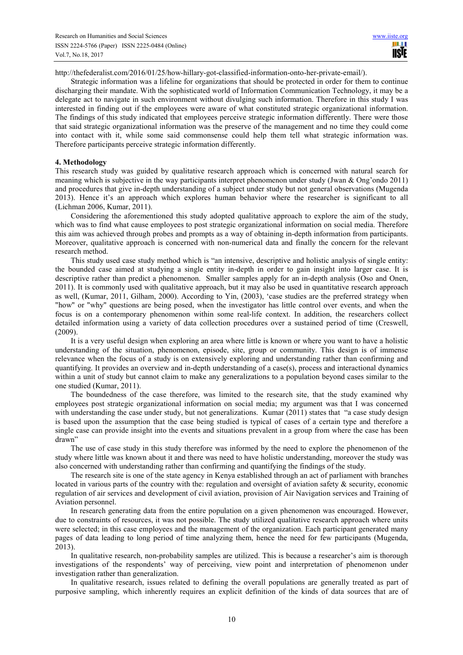http://thefederalist.com/2016/01/25/how-hillary-got-classified-information-onto-her-private-email/).

Strategic information was a lifeline for organizations that should be protected in order for them to continue discharging their mandate. With the sophisticated world of Information Communication Technology, it may be a delegate act to navigate in such environment without divulging such information. Therefore in this study I was interested in finding out if the employees were aware of what constituted strategic organizational information. The findings of this study indicated that employees perceive strategic information differently. There were those that said strategic organizational information was the preserve of the management and no time they could come into contact with it, while some said commonsense could help them tell what strategic information was. Therefore participants perceive strategic information differently.

## **4. Methodology**

This research study was guided by qualitative research approach which is concerned with natural search for meaning which is subjective in the way participants interpret phenomenon under study (Jwan & Ong'ondo 2011) and procedures that give in-depth understanding of a subject under study but not general observations (Mugenda 2013). Hence it's an approach which explores human behavior where the researcher is significant to all (Lichman 2006, Kumar, 2011).

Considering the aforementioned this study adopted qualitative approach to explore the aim of the study, which was to find what cause employees to post strategic organizational information on social media. Therefore this aim was achieved through probes and prompts as a way of obtaining in-depth information from participants. Moreover, qualitative approach is concerned with non-numerical data and finally the concern for the relevant research method.

This study used case study method which is "an intensive, descriptive and holistic analysis of single entity: the bounded case aimed at studying a single entity in-depth in order to gain insight into larger case. It is descriptive rather than predict a phenomenon. Smaller samples apply for an in-depth analysis (Oso and Onen, 2011). It is commonly used with qualitative approach, but it may also be used in quantitative research approach as well, (Kumar, 2011, Gilham, 2000). According to Yin, (2003), 'case studies are the preferred strategy when "how" or "why" questions are being posed, when the investigator has little control over events, and when the focus is on a contemporary phenomenon within some real-life context. In addition, the researchers collect detailed information using a variety of data collection procedures over a sustained period of time (Creswell, (2009).

It is a very useful design when exploring an area where little is known or where you want to have a holistic understanding of the situation, phenomenon, episode, site, group or community. This design is of immense relevance when the focus of a study is on extensively exploring and understanding rather than confirming and quantifying. It provides an overview and in-depth understanding of a case(s), process and interactional dynamics within a unit of study but cannot claim to make any generalizations to a population beyond cases similar to the one studied (Kumar, 2011).

The boundedness of the case therefore, was limited to the research site, that the study examined why employees post strategic organizational information on social media; my argument was that I was concerned with understanding the case under study, but not generalizations. Kumar (2011) states that "a case study design is based upon the assumption that the case being studied is typical of cases of a certain type and therefore a single case can provide insight into the events and situations prevalent in a group from where the case has been drawn"

The use of case study in this study therefore was informed by the need to explore the phenomenon of the study where little was known about it and there was need to have holistic understanding, moreover the study was also concerned with understanding rather than confirming and quantifying the findings of the study.

The research site is one of the state agency in Kenya established through an act of parliament with branches located in various parts of the country with the: regulation and oversight of aviation safety & security, economic regulation of air services and development of civil aviation, provision of Air Navigation services and Training of Aviation personnel.

In research generating data from the entire population on a given phenomenon was encouraged. However, due to constraints of resources, it was not possible. The study utilized qualitative research approach where units were selected; in this case employees and the management of the organization. Each participant generated many pages of data leading to long period of time analyzing them, hence the need for few participants (Mugenda, 2013).

In qualitative research, non-probability samples are utilized. This is because a researcher's aim is thorough investigations of the respondents' way of perceiving, view point and interpretation of phenomenon under investigation rather than generalization.

In qualitative research, issues related to defining the overall populations are generally treated as part of purposive sampling, which inherently requires an explicit definition of the kinds of data sources that are of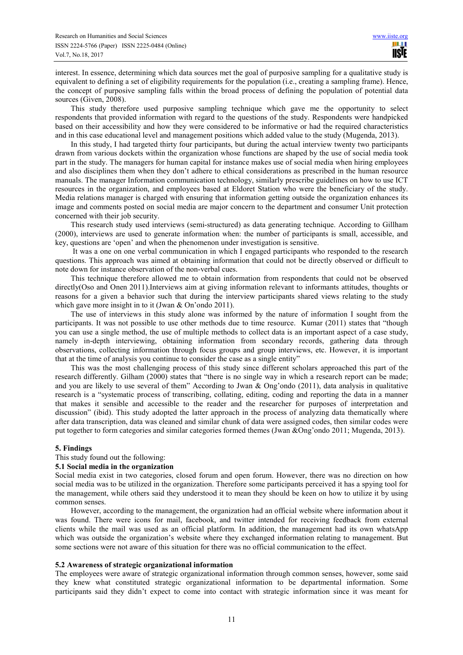interest. In essence, determining which data sources met the goal of purposive sampling for a qualitative study is equivalent to defining a set of eligibility requirements for the population (i.e., creating a sampling frame). Hence, the concept of purposive sampling falls within the broad process of defining the population of potential data sources (Given, 2008).

This study therefore used purposive sampling technique which gave me the opportunity to select respondents that provided information with regard to the questions of the study. Respondents were handpicked based on their accessibility and how they were considered to be informative or had the required characteristics and in this case educational level and management positions which added value to the study (Mugenda, 2013).

In this study, I had targeted thirty four participants, but during the actual interview twenty two participants drawn from various dockets within the organization whose functions are shaped by the use of social media took part in the study. The managers for human capital for instance makes use of social media when hiring employees and also disciplines them when they don't adhere to ethical considerations as prescribed in the human resource manuals. The manager Information communication technology, similarly prescribe guidelines on how to use ICT resources in the organization, and employees based at Eldoret Station who were the beneficiary of the study. Media relations manager is charged with ensuring that information getting outside the organization enhances its image and comments posted on social media are major concern to the department and consumer Unit protection concerned with their job security.

This research study used interviews (semi-structured) as data generating technique. According to Gillham (2000), interviews are used to generate information when: the number of participants is small, accessible, and key, questions are 'open' and when the phenomenon under investigation is sensitive.

 It was a one on one verbal communication in which I engaged participants who responded to the research questions. This approach was aimed at obtaining information that could not be directly observed or difficult to note down for instance observation of the non-verbal cues.

This technique therefore allowed me to obtain information from respondents that could not be observed directly(Oso and Onen 2011).Interviews aim at giving information relevant to informants attitudes, thoughts or reasons for a given a behavior such that during the interview participants shared views relating to the study which gave more insight in to it (Jwan & On'ondo 2011).

The use of interviews in this study alone was informed by the nature of information I sought from the participants. It was not possible to use other methods due to time resource. Kumar (2011) states that "though you can use a single method, the use of multiple methods to collect data is an important aspect of a case study, namely in-depth interviewing, obtaining information from secondary records, gathering data through observations, collecting information through focus groups and group interviews, etc. However, it is important that at the time of analysis you continue to consider the case as a single entity"

This was the most challenging process of this study since different scholars approached this part of the research differently. Gilham (2000) states that "there is no single way in which a research report can be made; and you are likely to use several of them" According to Jwan & Ong'ondo (2011), data analysis in qualitative research is a "systematic process of transcribing, collating, editing, coding and reporting the data in a manner that makes it sensible and accessible to the reader and the researcher for purposes of interpretation and discussion" (ibid). This study adopted the latter approach in the process of analyzing data thematically where after data transcription, data was cleaned and similar chunk of data were assigned codes, then similar codes were put together to form categories and similar categories formed themes (Jwan &Ong'ondo 2011; Mugenda, 2013).

# **5. Findings**

This study found out the following:

## **5.1 Social media in the organization**

Social media exist in two categories, closed forum and open forum. However, there was no direction on how social media was to be utilized in the organization. Therefore some participants perceived it has a spying tool for the management, while others said they understood it to mean they should be keen on how to utilize it by using common senses.

However, according to the management, the organization had an official website where information about it was found. There were icons for mail, facebook, and twitter intended for receiving feedback from external clients while the mail was used as an official platform. In addition, the management had its own whatsApp which was outside the organization's website where they exchanged information relating to management. But some sections were not aware of this situation for there was no official communication to the effect.

## **5.2 Awareness of strategic organizational information**

The employees were aware of strategic organizational information through common senses, however, some said they knew what constituted strategic organizational information to be departmental information. Some participants said they didn't expect to come into contact with strategic information since it was meant for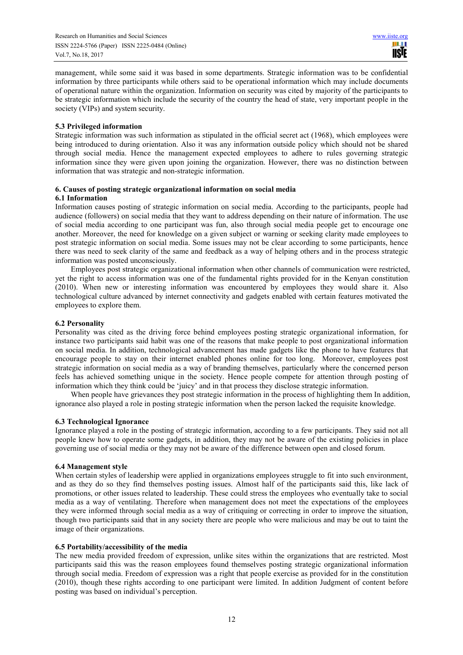management, while some said it was based in some departments. Strategic information was to be confidential information by three participants while others said to be operational information which may include documents of operational nature within the organization. Information on security was cited by majority of the participants to be strategic information which include the security of the country the head of state, very important people in the society (VIPs) and system security.

# **5.3 Privileged information**

Strategic information was such information as stipulated in the official secret act (1968), which employees were being introduced to during orientation. Also it was any information outside policy which should not be shared through social media. Hence the management expected employees to adhere to rules governing strategic information since they were given upon joining the organization. However, there was no distinction between information that was strategic and non-strategic information.

# **6. Causes of posting strategic organizational information on social media**

## **6.1 Information**

Information causes posting of strategic information on social media. According to the participants, people had audience (followers) on social media that they want to address depending on their nature of information. The use of social media according to one participant was fun, also through social media people get to encourage one another. Moreover, the need for knowledge on a given subject or warning or seeking clarity made employees to post strategic information on social media. Some issues may not be clear according to some participants, hence there was need to seek clarity of the same and feedback as a way of helping others and in the process strategic information was posted unconsciously.

Employees post strategic organizational information when other channels of communication were restricted, yet the right to access information was one of the fundamental rights provided for in the Kenyan constitution (2010). When new or interesting information was encountered by employees they would share it. Also technological culture advanced by internet connectivity and gadgets enabled with certain features motivated the employees to explore them.

# **6.2 Personality**

Personality was cited as the driving force behind employees posting strategic organizational information, for instance two participants said habit was one of the reasons that make people to post organizational information on social media. In addition, technological advancement has made gadgets like the phone to have features that encourage people to stay on their internet enabled phones online for too long. Moreover, employees post strategic information on social media as a way of branding themselves, particularly where the concerned person feels has achieved something unique in the society. Hence people compete for attention through posting of information which they think could be 'juicy' and in that process they disclose strategic information.

When people have grievances they post strategic information in the process of highlighting them In addition, ignorance also played a role in posting strategic information when the person lacked the requisite knowledge.

# **6.3 Technological Ignorance**

Ignorance played a role in the posting of strategic information, according to a few participants. They said not all people knew how to operate some gadgets, in addition, they may not be aware of the existing policies in place governing use of social media or they may not be aware of the difference between open and closed forum.

# **6.4 Management style**

When certain styles of leadership were applied in organizations employees struggle to fit into such environment, and as they do so they find themselves posting issues. Almost half of the participants said this, like lack of promotions, or other issues related to leadership. These could stress the employees who eventually take to social media as a way of ventilating. Therefore when management does not meet the expectations of the employees they were informed through social media as a way of critiquing or correcting in order to improve the situation, though two participants said that in any society there are people who were malicious and may be out to taint the image of their organizations.

## **6.5 Portability/accessibility of the media**

The new media provided freedom of expression, unlike sites within the organizations that are restricted. Most participants said this was the reason employees found themselves posting strategic organizational information through social media. Freedom of expression was a right that people exercise as provided for in the constitution (2010), though these rights according to one participant were limited. In addition Judgment of content before posting was based on individual's perception.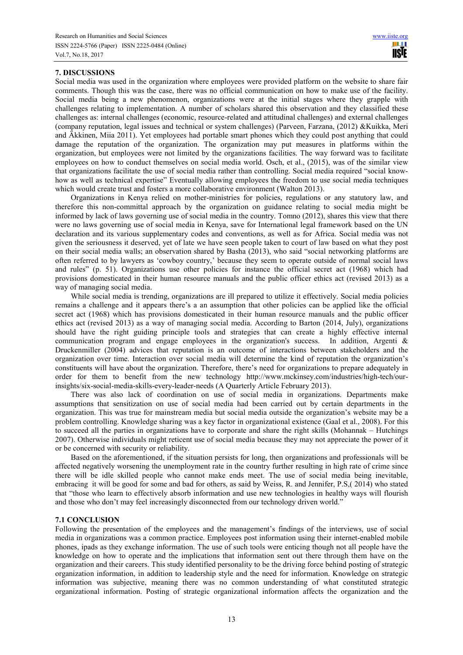# **7. DISCUSSIONS**

Social media was used in the organization where employees were provided platform on the website to share fair comments. Though this was the case, there was no official communication on how to make use of the facility. Social media being a new phenomenon, organizations were at the initial stages where they grapple with challenges relating to implementation. A number of scholars shared this observation and they classified these challenges as: internal challenges (economic, resource-related and attitudinal challenges) and external challenges (company reputation, legal issues and technical or system challenges) (Parveen, Farzana, (2012) &Kuikka, Meri and Äkkinen, Miia 2011). Yet employees had portable smart phones which they could post anything that could damage the reputation of the organization. The organization may put measures in platforms within the organization, but employees were not limited by the organizations facilities. The way forward was to facilitate employees on how to conduct themselves on social media world. Osch, et al., (2015), was of the similar view that organizations facilitate the use of social media rather than controlling. Social media required "social knowhow as well as technical expertise" Eventually allowing employees the freedom to use social media techniques which would create trust and fosters a more collaborative environment (Walton 2013).

Organizations in Kenya relied on mother-ministries for policies, regulations or any statutory law, and therefore this non-committal approach by the organization on guidance relating to social media might be informed by lack of laws governing use of social media in the country. Tomno (2012), shares this view that there were no laws governing use of social media in Kenya, save for International legal framework based on the UN declaration and its various supplementary codes and conventions, as well as for Africa. Social media was not given the seriousness it deserved, yet of late we have seen people taken to court of law based on what they post on their social media walls; an observation shared by Basha (2013), who said "social networking platforms are often referred to by lawyers as 'cowboy country,' because they seem to operate outside of normal social laws and rules" (p. 51). Organizations use other policies for instance the official secret act (1968) which had provisions domesticated in their human resource manuals and the public officer ethics act (revised 2013) as a way of managing social media.

While social media is trending, organizations are ill prepared to utilize it effectively. Social media policies remains a challenge and it appears there's a an assumption that other policies can be applied like the official secret act (1968) which has provisions domesticated in their human resource manuals and the public officer ethics act (revised 2013) as a way of managing social media. According to Barton (2014, July), organizations should have the right guiding principle tools and strategies that can create a highly effective internal communication program and engage employees in the organization's success. In addition, Argenti & Druckenmiller (2004) advices that reputation is an outcome of interactions between stakeholders and the organization over time. Interaction over social media will determine the kind of reputation the organization's constituents will have about the organization. Therefore, there's need for organizations to prepare adequately in order for them to benefit from the new technology http://www.mckinsey.com/industries/high-tech/ourinsights/six-social-media-skills-every-leader-needs (A Quarterly Article February 2013).

There was also lack of coordination on use of social media in organizations. Departments make assumptions that sensitization on use of social media had been carried out by certain departments in the organization. This was true for mainstream media but social media outside the organization's website may be a problem controlling. Knowledge sharing was a key factor in organizational existence (Gaal et al., 2008). For this to succeed all the parties in organizations have to corporate and share the right skills (Mohannak – Hutchings 2007). Otherwise individuals might reticent use of social media because they may not appreciate the power of it or be concerned with security or reliability.

Based on the aforementioned, if the situation persists for long, then organizations and professionals will be affected negatively worsening the unemployment rate in the country further resulting in high rate of crime since there will be idle skilled people who cannot make ends meet. The use of social media being inevitable, embracing it will be good for some and bad for others, as said by Weiss, R. and Jennifer, P.S,( 2014) who stated that "those who learn to effectively absorb information and use new technologies in healthy ways will flourish and those who don't may feel increasingly disconnected from our technology driven world."

## **7.1 CONCLUSION**

Following the presentation of the employees and the management's findings of the interviews, use of social media in organizations was a common practice. Employees post information using their internet-enabled mobile phones, ipads as they exchange information. The use of such tools were enticing though not all people have the knowledge on how to operate and the implications that information sent out there through them have on the organization and their careers. This study identified personality to be the driving force behind posting of strategic organization information, in addition to leadership style and the need for information. Knowledge on strategic information was subjective, meaning there was no common understanding of what constituted strategic organizational information. Posting of strategic organizational information affects the organization and the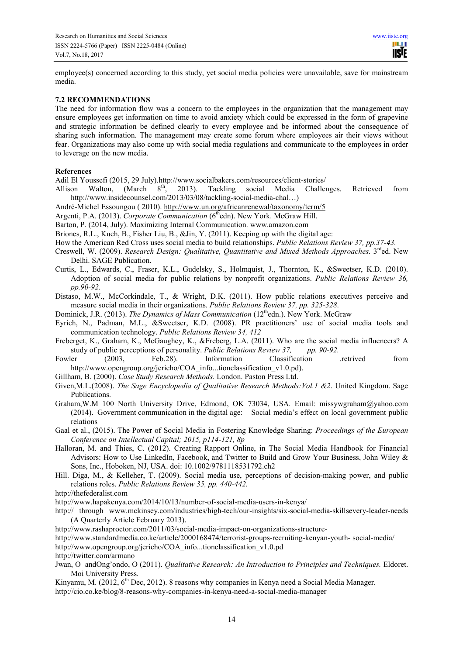employee(s) concerned according to this study, yet social media policies were unavailable, save for mainstream media.

# **7.2 RECOMMENDATIONS**

The need for information flow was a concern to the employees in the organization that the management may ensure employees get information on time to avoid anxiety which could be expressed in the form of grapevine and strategic information be defined clearly to every employee and be informed about the consequence of sharing such information. The management may create some forum where employees air their views without fear. Organizations may also come up with social media regulations and communicate to the employees in order to leverage on the new media.

# **References**

Adil El Youssefi (2015, 29 July).http://www.socialbakers.com/resources/client-stories/

- Allison Walton, (March 8<sup>th</sup>, 2013). Tackling social Media Challenges. Retrieved from http://www.insidecounsel.com/2013/03/08/tackling-social-media-chal…)
- André-Michel Essoungou ( 2010). http://www.un.org/africanrenewal/taxonomy/term/5
- Argenti, P.A. (2013). *Corporate Communication* (6<sup>th</sup>edn). New York. McGraw Hill.
- Barton, P. (2014, July). Maximizing Internal Communication. www.amazon.com
- Briones, R.L., Kuch, B., Fisher Liu, B., &Jin, Y. (2011). Keeping up with the digital age:
- How the American Red Cross uses social media to build relationships. *Public Relations Review 37, pp.37-43.*
- Creswell, W. (2009). *Research Design: Qualitative, Quantitative and Mixed Methods Approaches.* 3<sup>rd</sup>ed. New Delhi. SAGE Publication.
- Curtis, L., Edwards, C., Fraser, K.L., Gudelsky, S., Holmquist, J., Thornton, K., &Sweetser, K.D. (2010). Adoption of social media for public relations by nonprofit organizations. *Public Relations Review 36, pp.90-92.*
- Distaso, M.W., McCorkindale, T., & Wright, D.K. (2011). How public relations executives perceive and measure social media in their organizations. *Public Relations Review 37, pp. 325-328*.
- Dominick, J.R. (2013). *The Dynamics of Mass Communication* (12<sup>th</sup>edn.). New York. McGraw
- Eyrich, N., Padman, M.L., &Sweetser, K.D. (2008). PR practitioners' use of social media tools and communication technology. *Public Relations Review 34, 412*
- Freberget, K., Graham, K., McGaughey, K., &Freberg, L.A. (2011). Who are the social media influencers? A study of public perceptions of personality. *Public Relations Review 37, pp. 90-92.*
- Fowler (2003, Feb.28). Information Classification .retrived from http://www.opengroup.org/jericho/COA\_info...tionclassification\_v1.0.pd).
- Gillham, B. (2000). *Case Study Research Methods.* London. Paston Press Ltd.
- Given,M.L.(2008). *The Sage Encyclopedia of Qualitative Research Methods:Vol.1 &2*. United Kingdom. Sage Publications.
- Graham,W.M 100 North University Drive, Edmond, OK 73034, USA. Email: missywgraham@yahoo.com (2014). Government communication in the digital age: Social media's effect on local government public relations
- Gaal et al., (2015). The Power of Social Media in Fostering Knowledge Sharing: *Proceedings of the European Conference on Intellectual Capital; 2015, p114-121, 8p*
- Halloran, M. and Thies, C. (2012). Creating Rapport Online, in The Social Media Handbook for Financial Advisors: How to Use LinkedIn, Facebook, and Twitter to Build and Grow Your Business, John Wiley & Sons, Inc., Hoboken, NJ, USA. doi: 10.1002/9781118531792.ch2
- Hill. Diga, M., & Kelleher, T. (2009). Social media use, perceptions of decision-making power, and public relations roles. *Public Relations Review 35, pp. 440-442.*
- http://thefederalist.com
- http://www.hapakenya.com/2014/10/13/number-of-social-media-users-in-kenya/
- http:// through www.mckinsey.com/industries/high-tech/our-insights/six-social-media-skillsevery-leader-needs (A Quarterly Article February 2013).
- http://www.rashaproctor.com/2011/03/social-media-impact-on-organizations-structure-
- http://www.standardmedia.co.ke/article/2000168474/terrorist-groups-recruiting-kenyan-youth- social-media/
- http://www.opengroup.org/jericho/COA\_info...tionclassification\_v1.0.pd

http://twitter.com/armano

- Jwan, O andOng'ondo, O (2011). *Qualitative Research: An Introduction to Principles and Techniques.* Eldoret. Moi University Press.
- Kinyamu, M. (2012, 6<sup>th</sup> Dec, 2012). 8 reasons why companies in Kenya need a Social Media Manager. http://cio.co.ke/blog/8-reasons-why-companies-in-kenya-need-a-social-media-manager